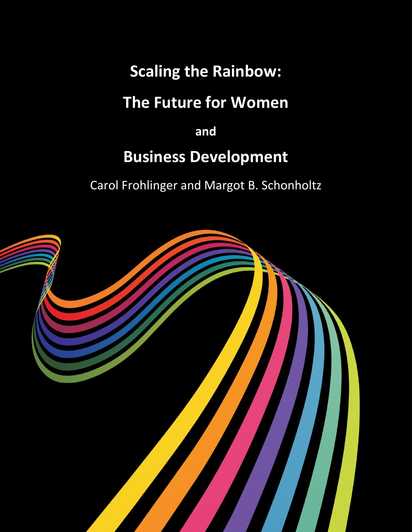## **Scaling the Rainbow:**

## **The Future for Women**

# **and Business Development**

Carol Frohlinger and Margot B. Schonholtz

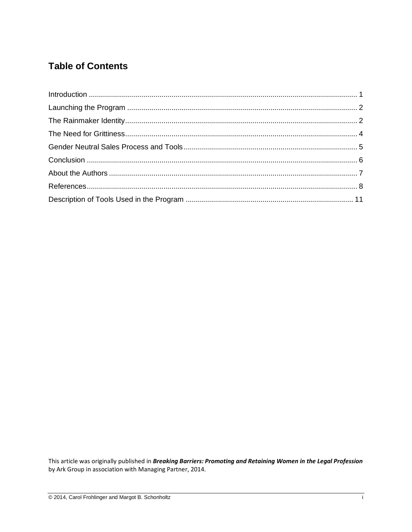### **Table of Contents**

This article was originally published in Breaking Barriers: Promoting and Retaining Women in the Legal Profession by Ark Group in association with Managing Partner, 2014.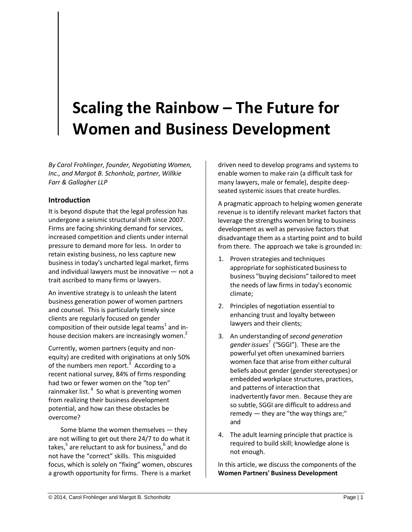## **Scaling the Rainbow – The Future for Women and Business Development**

*By Carol Frohlinger, founder, Negotiating Women, Inc., and Margot B. Schonholz, partner, Willkie Farr & Gallagher LLP*

#### <span id="page-2-0"></span>**Introduction**

It is beyond dispute that the legal profession has undergone a seismic structural shift since 2007. Firms are facing shrinking demand for services, increased competition and clients under internal pressure to demand more for less. In order to retain existing business, no less capture new business in today's uncharted legal market, firms and individual lawyers must be innovative — not a trait ascribed to many firms or lawyers.

An inventive strategy is to unleash the latent business generation power of women partners and counsel. This is particularly timely since clients are regularly focused on gender composition of their outside legal teams<sup>1</sup> and inhouse decision makers are increasingly women.<sup>2</sup>

Currently, women partners (equity and nonequity) are credited with originations at only 50% of the numbers men report.<sup>3</sup> According to a recent national survey, 84% of firms responding had two or fewer women on the "top ten" rainmaker list.<sup>4</sup> So what is preventing women from realizing their business development potential, and how can these obstacles be overcome?

Some blame the women themselves — they are not willing to get out there 24/7 to do what it takes,<sup>5</sup> are reluctant to ask for business,<sup>6</sup> and do not have the "correct" skills. This misguided focus, which is solely on "fixing" women, obscures a growth opportunity for firms. There is a market

driven need to develop programs and systems to enable women to make rain (a difficult task for many lawyers, male or female), despite deepseated systemic issues that create hurdles.

A pragmatic approach to helping women generate revenue is to identify relevant market factors that leverage the strengths women bring to business development as well as pervasive factors that disadvantage them as a starting point and to build from there. The approach we take is grounded in:

- 1. Proven strategies and techniques appropriate for sophisticated business to business "buying decisions" tailored to meet the needs of law firms in today's economic climate;
- 2. Principles of negotiation essential to enhancing trust and loyalty between lawyers and their clients;
- 3. An understanding of *second generation gender issues*<sup>7</sup> ("SGGI"). These are the powerful yet often unexamined barriers women face that arise from either cultural beliefs about gender (gender stereotypes) or embedded workplace structures, practices, and patterns of interaction that inadvertently favor men. Because they are so subtle, SGGI are difficult to address and remedy — they are "the way things are;" and
- 4. The adult learning principle that practice is required to build skill; knowledge alone is not enough.

In this article, we discuss the components of the **Women Partners' Business Development**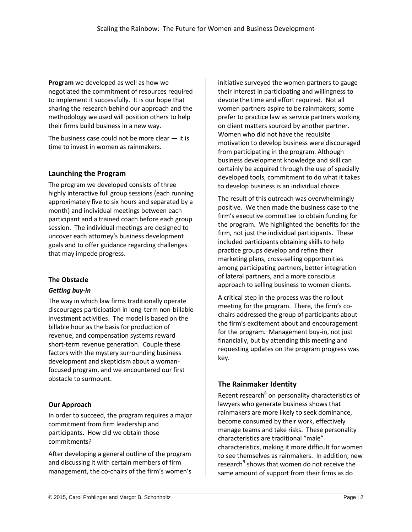**Program** we developed as well as how we negotiated the commitment of resources required to implement it successfully. It is our hope that sharing the research behind our approach and the methodology we used will position others to help their firms build business in a new way.

The business case could not be more clear  $-$  it is time to invest in women as rainmakers.

#### <span id="page-3-0"></span>**Launching the Program**

The program we developed consists of three highly interactive full group sessions (each running approximately five to six hours and separated by a month) and individual meetings between each participant and a trained coach before each group session. The individual meetings are designed to uncover each attorney's business development goals and to offer guidance regarding challenges that may impede progress.

#### **The Obstacle**

#### *Getting buy-in*

The way in which law firms traditionally operate discourages participation in long-term non-billable investment activities. The model is based on the billable hour as the basis for production of revenue, and compensation systems reward short-term revenue generation. Couple these factors with the mystery surrounding business development and skepticism about a womanfocused program, and we encountered our first obstacle to surmount.

#### **Our Approach**

In order to succeed, the program requires a major commitment from firm leadership and participants. How did we obtain those commitments?

After developing a general outline of the program and discussing it with certain members of firm management, the co-chairs of the firm's women's initiative surveyed the women partners to gauge their interest in participating and willingness to devote the time and effort required. Not all women partners aspire to be rainmakers; some prefer to practice law as service partners working on client matters sourced by another partner. Women who did not have the requisite motivation to develop business were discouraged from participating in the program. Although business development knowledge and skill can certainly be acquired through the use of specially developed tools, commitment to do what it takes to develop business is an individual choice.

The result of this outreach was overwhelmingly positive. We then made the business case to the firm's executive committee to obtain funding for the program. We highlighted the benefits for the firm, not just the individual participants. These included participants obtaining skills to help practice groups develop and refine their marketing plans, cross-selling opportunities among participating partners, better integration of lateral partners, and a more conscious approach to selling business to women clients.

A critical step in the process was the rollout meeting for the program. There, the firm's cochairs addressed the group of participants about the firm's excitement about and encouragement for the program. Management buy-in, not just financially, but by attending this meeting and requesting updates on the program progress was key.

#### <span id="page-3-1"></span>**The Rainmaker Identity**

Recent research<sup>8</sup> on personality characteristics of lawyers who generate business shows that rainmakers are more likely to seek dominance, become consumed by their work, effectively manage teams and take risks. These personality characteristics are traditional "male" characteristics, making it more difficult for women to see themselves as rainmakers. In addition, new research<sup>9</sup> shows that women do not receive the same amount of support from their firms as do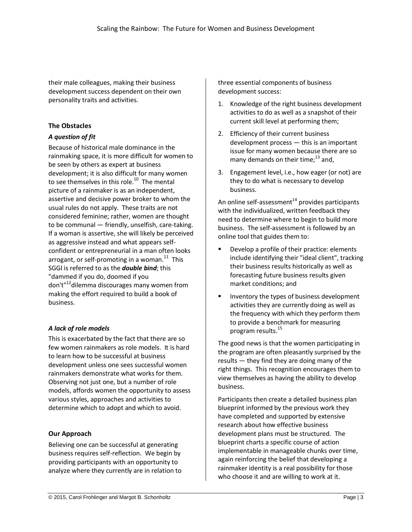their male colleagues, making their business development success dependent on their own personality traits and activities.

#### **The Obstacles**

#### *A question of fit*

Because of historical male dominance in the rainmaking space, it is more difficult for women to be seen by others as expert at business development; it is also difficult for many women to see themselves in this role.<sup>10</sup> The mental picture of a rainmaker is as an independent, assertive and decisive power broker to whom the usual rules do not apply. These traits are not considered feminine; rather, women are thought to be communal — friendly, unselfish, care-taking. If a woman is assertive, she will likely be perceived as aggressive instead and what appears selfconfident or entrepreneurial in a man often looks arrogant, or self-promoting in a woman. $^{11}$  This SGGI is referred to as the *double bind*; this "dammed if you do, doomed if you don't"<sup>12</sup>dilemma discourages many women from making the effort required to build a book of business.

#### *A lack of role models*

This is exacerbated by the fact that there are so few women rainmakers as role models. It is hard to learn how to be successful at business development unless one sees successful women rainmakers demonstrate what works for them. Observing not just one, but a number of role models, affords women the opportunity to assess various styles, approaches and activities to determine which to adopt and which to avoid.

#### **Our Approach**

Believing one can be successful at generating business requires self-reflection. We begin by providing participants with an opportunity to analyze where they currently are in relation to three essential components of business development success:

- 1. Knowledge of the right business development activities to do as well as a snapshot of their current skill level at performing them;
- 2. Efficiency of their current business development process — this is an important issue for many women because there are so many demands on their time; $^{13}$  and,
- 3. Engagement level, i.e., how eager (or not) are they to do what is necessary to develop business.

An online self-assessment $^{14}$  provides participants with the individualized, written feedback they need to determine where to begin to build more business. The self-assessment is followed by an online tool that guides them to:

- Develop a profile of their practice: elements include identifying their "ideal client", tracking their business results historically as well as forecasting future business results given market conditions; and
- Inventory the types of business development activities they are currently doing as well as the frequency with which they perform them to provide a benchmark for measuring program results.<sup>15</sup>

The good news is that the women participating in the program are often pleasantly surprised by the results — they find they are doing many of the right things. This recognition encourages them to view themselves as having the ability to develop business.

Participants then create a detailed business plan blueprint informed by the previous work they have completed and supported by extensive research about how effective business development plans must be structured. The blueprint charts a specific course of action implementable in manageable chunks over time, again reinforcing the belief that developing a rainmaker identity is a real possibility for those who choose it and are willing to work at it.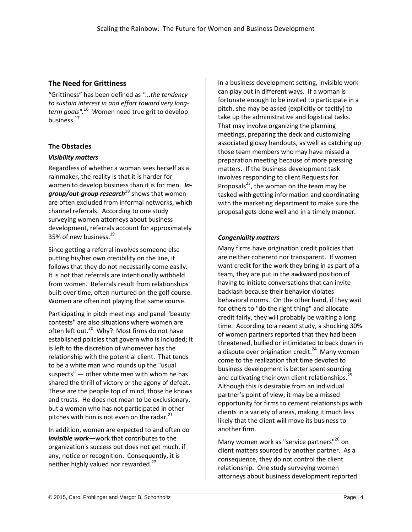#### <span id="page-5-0"></span>**The Need for Grittiness**

"Grittiness" has been defined as *"...the tendency to sustain interest in and effort toward very longterm goals".*<sup>16</sup> *W*omen need true grit to develop business.<sup>17</sup>

#### **The Obstacles**

#### *Visibility matters*

Regardless of whether a woman sees herself as a rainmaker, the reality is that it is harder for women to develop business than it is for men. *Ingroup/out-group research*<sup>18</sup> shows that women are often excluded from informal networks, which channel referrals. According to one study surveying women attorneys about business development, referrals account for approximately 35% of new business.<sup>19</sup>

Since getting a referral involves someone else putting his/her own credibility on the line, it follows that they do not necessarily come easily. It is not that referrals are intentionally withheld from women. Referrals result from relationships built over time, often nurtured on the golf course. Women are often not playing that same course.

Participating in pitch meetings and panel "beauty contests" are also situations where women are often left out.<sup>20</sup> Why? Most firms do not have established policies that govern who is included; it is left to the discretion of whomever has the relationship with the potential client. That tends to be a white man who rounds up the "usual suspects" — other white men with whom he has shared the thrill of victory or the agony of defeat. These are the people top of mind, those he knows and trusts. He does not mean to be exclusionary, but a woman who has not participated in other pitches with him is not even on the radar. $^{21}$ 

In addition, women are expected to and often do *invisible work*—work that contributes to the organization's success but does not get much, if any, notice or recognition. Consequently, it is neither highly valued nor rewarded.<sup>22</sup>

In a business development setting, invisible work can play out in different ways. If a woman is fortunate enough to be invited to participate in a pitch, she may be asked (explicitly or tacitly) to take up the administrative and logistical tasks. That may involve organizing the planning meetings, preparing the deck and customizing associated glossy handouts, as well as catching up those team members who may have missed a preparation meeting because of more pressing matters. If the business development task involves responding to client Requests for Proposals<sup>23</sup>, the woman on the team may be tasked with getting information and coordinating with the marketing department to make sure the proposal gets done well and in a timely manner.

#### *Congeniality matters*

Many firms have origination credit policies that are neither coherent nor transparent. If women want credit for the work they bring in as part of a team, they are put in the awkward position of having to initiate conversations that can invite backlash because their behavior violates behavioral norms. On the other hand, if they wait for others to "do the right thing" and allocate credit fairly, they will probably be waiting a long time. According to a recent study, a shocking 30% of women partners reported that they had been threatened, bullied or intimidated to back down in a dispute over origination credit.<sup>24</sup> Many women come to the realization that time devoted to business development is better spent sourcing and cultivating their own client relationships. $^{25}$ Although this is desirable from an individual partner's point of view, it may be a missed opportunity for firms to cement relationships with clients in a variety of areas, making it much less likely that the client will move its business to another firm.

Many women work as "service partners"<sup>26</sup> on client matters sourced by another partner. As a consequence, they do not control the client relationship. One study surveying women attorneys about business development reported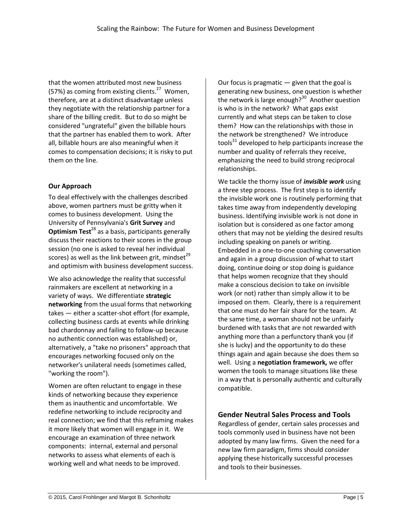that the women attributed most new business (57%) as coming from existing clients.<sup>27</sup> Women, therefore, are at a distinct disadvantage unless they negotiate with the relationship partner for a share of the billing credit. But to do so might be considered "ungrateful" given the billable hours that the partner has enabled them to work. After all, billable hours are also meaningful when it comes to compensation decisions; it is risky to put them on the line.

#### **Our Approach**

To deal effectively with the challenges described above, women partners must be gritty when it comes to business development. Using the University of Pennsylvania's **Grit Survey** and **Optimism Test**<sup>28</sup> as a basis, participants generally discuss their reactions to their scores in the group session (no one is asked to reveal her individual scores) as well as the link between grit, mindset $^{29}$ and optimism with business development success.

We also acknowledge the reality that successful rainmakers are excellent at networking in a variety of ways. We differentiate **strategic networking** from the usual forms that networking takes — either a scatter-shot effort (for example, collecting business cards at events while drinking bad chardonnay and failing to follow-up because no authentic connection was established) or, alternatively, a "take no prisoners" approach that encourages networking focused only on the networker's unilateral needs (sometimes called, "working the room").

Women are often reluctant to engage in these kinds of networking because they experience them as inauthentic and uncomfortable. We redefine networking to include reciprocity and real connection; we find that this reframing makes it more likely that women will engage in it. We encourage an examination of three network components: internal, external and personal networks to assess what elements of each is working well and what needs to be improved.

Our focus is pragmatic  $-$  given that the goal is generating new business, one question is whether the network is large enough?<sup>30</sup> Another question is who is in the network? What gaps exist currently and what steps can be taken to close them? How can the relationships with those in the network be strengthened? We introduce tools<sup>31</sup> developed to help participants increase the number and quality of referrals they receive, emphasizing the need to build strong reciprocal relationships.

We tackle the thorny issue of *invisible work* using a three step process. The first step is to identify the invisible work one is routinely performing that takes time away from independently developing business. Identifying invisible work is not done in isolation but is considered as one factor among others that may not be yielding the desired results including speaking on panels or writing. Embedded in a one-to-one coaching conversation and again in a group discussion of what to start doing, continue doing or stop doing is guidance that helps women recognize that they should make a conscious decision to take on invisible work (or not) rather than simply allow it to be imposed on them. Clearly, there is a requirement that one must do her fair share for the team. At the same time, a woman should not be unfairly burdened with tasks that are not rewarded with anything more than a perfunctory thank you (if she is lucky) and the opportunity to do these things again and again because she does them so well. Using a **negotiation framework,** we offer women the tools to manage situations like these in a way that is personally authentic and culturally compatible.

#### <span id="page-6-0"></span>**Gender Neutral Sales Process and Tools**

Regardless of gender, certain sales processes and tools commonly used in business have not been adopted by many law firms. Given the need for a new law firm paradigm, firms should consider applying these historically successful processes and tools to their businesses.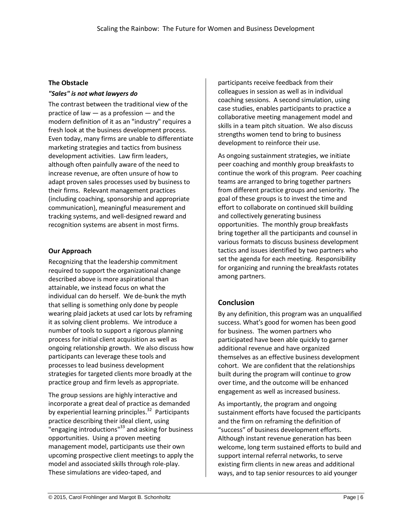#### **The Obstacle**

#### *"Sales" is not what lawyers do*

The contrast between the traditional view of the practice of law — as a profession — and the modern definition of it as an "industry" requires a fresh look at the business development process. Even today, many firms are unable to differentiate marketing strategies and tactics from business development activities. Law firm leaders, although often painfully aware of the need to increase revenue, are often unsure of how to adapt proven sales processes used by business to their firms. Relevant management practices (including coaching, sponsorship and appropriate communication), meaningful measurement and tracking systems, and well-designed reward and recognition systems are absent in most firms.

#### **Our Approach**

Recognizing that the leadership commitment required to support the organizational change described above is more aspirational than attainable, we instead focus on what the individual can do herself. We de-bunk the myth that selling is something only done by people wearing plaid jackets at used car lots by reframing it as solving client problems. We introduce a number of tools to support a rigorous planning process for initial client acquisition as well as ongoing relationship growth. We also discuss how participants can leverage these tools and processes to lead business development strategies for targeted clients more broadly at the practice group and firm levels as appropriate.

The group sessions are highly interactive and incorporate a great deal of practice as demanded by experiential learning principles.<sup>32</sup> Participants practice describing their ideal client, using **"engaging introductions"**<sup>33</sup> and asking for business opportunities. Using a proven meeting management model, participants use their own upcoming prospective client meetings to apply the model and associated skills through role-play. These simulations are video-taped, and

participants receive feedback from their colleagues in session as well as in individual coaching sessions. A second simulation, using case studies, enables participants to practice a collaborative meeting management model and skills in a team pitch situation. We also discuss strengths women tend to bring to business development to reinforce their use.

As ongoing sustainment strategies, we initiate peer coaching and monthly group breakfasts to continue the work of this program. Peer coaching teams are arranged to bring together partners from different practice groups and seniority. The goal of these groups is to invest the time and effort to collaborate on continued skill building and collectively generating business opportunities. The monthly group breakfasts bring together all the participants and counsel in various formats to discuss business development tactics and issues identified by two partners who set the agenda for each meeting. Responsibility for organizing and running the breakfasts rotates among partners.

#### <span id="page-7-0"></span>**Conclusion**

By any definition, this program was an unqualified success. What's good for women has been good for business. The women partners who participated have been able quickly to garner additional revenue and have organized themselves as an effective business development cohort. We are confident that the relationships built during the program will continue to grow over time, and the outcome will be enhanced engagement as well as increased business.

As importantly, the program and ongoing sustainment efforts have focused the participants and the firm on reframing the definition of "success" of business development efforts. Although instant revenue generation has been welcome, long term sustained efforts to build and support internal referral networks, to serve existing firm clients in new areas and additional ways, and to tap senior resources to aid younger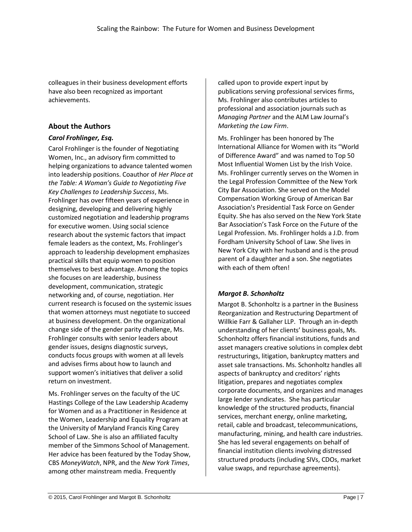colleagues in their business development efforts have also been recognized as important achievements.

#### <span id="page-8-0"></span>**About the Authors**

#### *Carol Frohlinger, Esq.*

Carol Frohlinger is the founder of Negotiating Women, Inc., an advisory firm committed to helping organizations to advance talented women into leadership positions. Coauthor of *Her Place at the Table: A Woman's Guide to Negotiating Five Key Challenges to Leadership Success*, Ms. Frohlinger has over fifteen years of experience in designing, developing and delivering highly customized negotiation and leadership programs for executive women. Using social science research about the systemic factors that impact female leaders as the context, Ms. Frohlinger's approach to leadership development emphasizes practical skills that equip women to position themselves to best advantage. Among the topics she focuses on are leadership, business development, communication, strategic networking and, of course, negotiation. Her current research is focused on the systemic issues that women attorneys must negotiate to succeed at business development. On the organizational change side of the gender parity challenge, Ms. Frohlinger consults with senior leaders about gender issues, designs diagnostic surveys, conducts focus groups with women at all levels and advises firms about how to launch and support women's initiatives that deliver a solid return on investment.

Ms. Frohlinger serves on the faculty of the UC Hastings College of the Law Leadership Academy for Women and as a Practitioner in Residence at the Women, Leadership and Equality Program at the University of Maryland Francis King Carey School of Law. She is also an affiliated faculty member of the Simmons School of Management. Her advice has been featured by the Today Show, CBS *MoneyWatch*, NPR, and the *New York Times*, among other mainstream media. Frequently

called upon to provide expert input by publications serving professional services firms, Ms. Frohlinger also contributes articles to professional and association journals such as *Managing Partner* and the ALM Law Journal's *Marketing the Law Firm*.

Ms. Frohlinger has been honored by The International Alliance for Women with its "World of Difference Award" and was named to Top 50 Most Influential Women List by the Irish Voice. Ms. Frohlinger currently serves on the Women in the Legal Profession Committee of the New York City Bar Association. She served on the Model Compensation Working Group of American Bar Association's Presidential Task Force on Gender Equity. She has also served on the New York State Bar Association's Task Force on the Future of the Legal Profession. Ms. Frohlinger holds a J.D. from Fordham University School of Law. She lives in New York City with her husband and is the proud parent of a daughter and a son. She negotiates with each of them often!

#### *Margot B. Schonholtz*

Margot B. Schonholtz is a partner in the Business Reorganization and Restructuring Department of Willkie Farr & Gallaher LLP. Through an in-depth understanding of her clients' business goals, Ms. Schonholtz offers financial institutions, funds and asset managers creative solutions in complex debt restructurings, litigation, bankruptcy matters and asset sale transactions. Ms. Schonholtz handles all aspects of bankruptcy and creditors' rights litigation, prepares and negotiates complex corporate documents, and organizes and manages large lender syndicates. She has particular knowledge of the structured products, financial services, merchant energy, online marketing, retail, cable and broadcast, telecommunications, manufacturing, mining, and health care industries. She has led several engagements on behalf of financial institution clients involving distressed structured products (including SIVs, CDOs, market value swaps, and repurchase agreements).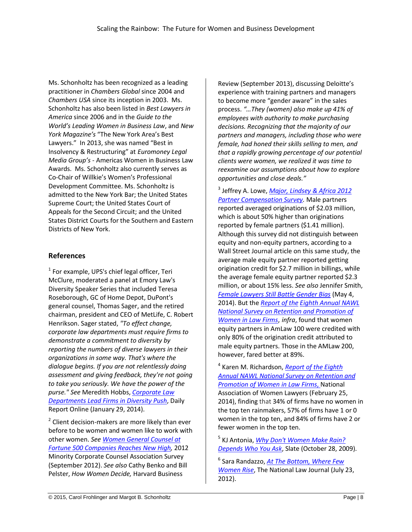Ms. Schonholtz has been recognized as a leading practitioner in *Chambers Global* since 2004 and *Chambers USA* since its inception in 2003. Ms. Schonholtz has also been listed in *Best Lawyers in America* since 2006 and in the *Guide to the World's Leading Women in Business Law*, and *New York Magazine's* "The New York Area's Best Lawyers." In 2013, she was named "Best in Insolvency & Restructuring" at *Euromoney Legal Media Group's* - Americas Women in Business Law Awards. Ms. Schonholtz also currently serves as Co-Chair of Willkie's Women's Professional Development Committee. Ms. Schonholtz is admitted to the New York Bar; the United States Supreme Court; the United States Court of Appeals for the Second Circuit; and the United States District Courts for the Southern and Eastern Districts of New York.

#### <span id="page-9-0"></span>**References**

 $<sup>1</sup>$  For example, UPS's chief legal officer, Teri</sup> McClure, moderated a panel at Emory Law's Diversity Speaker Series that included Teresa Roseborough, GC of Home Depot, DuPont's general counsel, Thomas Sager, and the retired chairman, president and CEO of MetLife, C. Robert Henrikson. Sager stated, *"To effect change, corporate law departments must require firms to demonstrate a commitment to diversity by reporting the numbers of diverse lawyers in their organizations in some way. That's where the dialogue begins. If you are not relentlessly doing assessment and giving feedback, they're not going to take you seriously. We have the power of the purse." See* Meredith Hobbs, *[Corporate Law](http://www.dailyreportonline.com/id=1202640380402/Corporate+Law+Departments+Lead+Firms+in+Diversity+Push?mcode=0&curindex=0&curpage=ALL)  [Departments Lead Firms in Diversity Push](http://www.dailyreportonline.com/id=1202640380402/Corporate+Law+Departments+Lead+Firms+in+Diversity+Push?mcode=0&curindex=0&curpage=ALL)*, Daily Report Online (January 29, 2014).

 $2$  Client decision-makers are more likely than ever before to be women and women like to work with other women. *See [Women General Counsel at](http://www.mcca.com/index.cfm?fuseaction=Feature.showFeature&CategoryID=21&FeatureID=350)  [Fortune 500 Companies Reaches New High,](http://www.mcca.com/index.cfm?fuseaction=Feature.showFeature&CategoryID=21&FeatureID=350)* 2012 Minority Corporate Counsel Association Survey (September 2012). *See also* Cathy Benko and Bill Pelster, *How Women Decide,* Harvard Business

Review (September 2013), discussing Deloitte's experience with training partners and managers to become more "gender aware" in the sales process. *"…They (women) also make up 41% of employees with authority to make purchasing decisions. Recognizing that the majority of our partners and managers, including those who were female, had honed their skills selling to men, and that a rapidly growing percentage of our potential clients were women, we realized it was time to reexamine our assumptions about how to explore opportunities and close deals."*

3 Jeffrey A. Lowe, *[Major, Lindsey & Africa 2012](http://www.mlaglobal.com/partner-compensation-survey/2012/)  [Partner Compensation Survey.](http://www.mlaglobal.com/partner-compensation-survey/2012/)* Male partners reported averaged originations of \$2.03 million, which is about 50% higher than originations reported by female partners (\$1.41 million). Although this survey did not distinguish between equity and non-equity partners, according to a Wall Street Journal article on this same study, the average male equity partner reported getting origination credit for \$2.7 million in billings, while the average female equity partner reported \$2.3 million, or about 15% less. *See also* Jennifer Smith, *[Female Lawyers Still Battle Gender Bias](http://online.wsj.com/news/articles/SB10001424052702303948104579537814028747376)* (May 4, 2014). But the *[Report](http://www.nawl.org/p/cm/ld/fid=82#surveys) of the Eighth [Annual](http://www.nawl.org/p/cm/ld/fid=82#surveys) NAWL National Survey on Retention and [Promotion](http://www.nawl.org/p/cm/ld/fid=82#surveys) of [Women](http://www.nawl.org/p/cm/ld/fid=82#surveys) in Law Firms*, *infra*, found that women equity partners in AmLaw 100 were credited with only 80% of the origination credit attributed to male equity partners. Those in the AMLaw 200, however, fared better at 89%.

4 Karen M. Richardson, *[Report](http://www.nawl.org/p/cm/ld/fid=82#surveys) of the [Eighth](http://www.nawl.org/p/cm/ld/fid=82#surveys) Annual NAWL National Survey on [Retention](http://www.nawl.org/p/cm/ld/fid=82#surveys) and [Promotion](http://www.nawl.org/p/cm/ld/fid=82#surveys) of Women in Law Firms*, National Association of Women Lawyers (February 25, 2014), finding that 34% of firms have no women in the top ten rainmakers, 57% of firms have 1 or 0 women in the top ten, and 84% of firms have 2 or fewer women in the top ten.

5 KJ Antonia, *[Why Don't Women Make Rain?](http://www.slate.com/blogs/xx_factor/2009/10/28/why_arent_more_women_rainmakers_at_law_firms.html)  [Depends Who You Ask](http://www.slate.com/blogs/xx_factor/2009/10/28/why_arent_more_women_rainmakers_at_law_firms.html)*, Slate (October 28, 2009).

6 Sara Randazzo, *[At The Bottom, Where Few](http://www.law.com/jsp/nlj/PubArticleNLJ.jsp?germane=1202563861081&id=1202563848388)  [Women Rise](http://www.law.com/jsp/nlj/PubArticleNLJ.jsp?germane=1202563861081&id=1202563848388)*, The National Law Journal (July 23, 2012).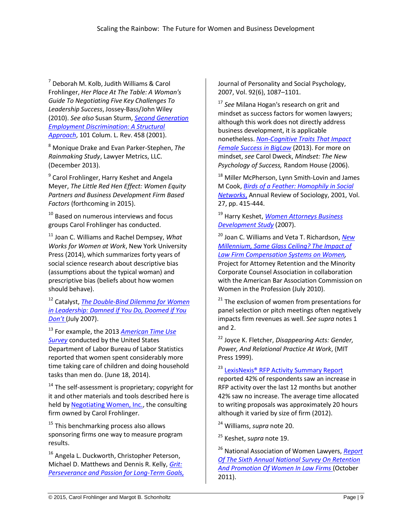<sup>7</sup> Deborah M. Kolb, Judith Williams & Carol Frohlinger, *Her Place At The Table: A Woman's Guide To Negotiating Five Key Challenges To Leadership Success*, Jossey-Bass/John Wiley (2010). *See also* Susan Sturm, *[Second Generation](http://www2.law.columbia.edu/ssturm/pdfs/second%20generation%20employment%20discrimination.pdf)  [Employment Discrimination: A Structural](http://www2.law.columbia.edu/ssturm/pdfs/second%20generation%20employment%20discrimination.pdf)  [Approach](http://www2.law.columbia.edu/ssturm/pdfs/second%20generation%20employment%20discrimination.pdf)*, 101 Colum. L. Rev. 458 (2001).

<sup>8</sup> Monique Drake and Evan Parker-Stephen, *The Rainmaking Study*, Lawyer Metrics, LLC. (December 2013).

<sup>9</sup> Carol Frohlinger, Harry Keshet and Angela Meyer, *The Little Red Hen Effect: Women Equity Partners and Business Development Firm Based Factors* (forthcoming in 2015).

<sup>10</sup> Based on numerous interviews and focus groups Carol Frohlinger has conducted.

<sup>11</sup> Joan C. Williams and Rachel Dempsey, *What Works for Women at Work*, New York University Press (2014), which summarizes forty years of social science research about descriptive bias (assumptions about the typical woman) and prescriptive bias (beliefs about how women should behave).

<sup>12</sup> Catalyst, *[The Double-Bind Dilemma for Women](http://www.catalyst.org/knowledge/double-bind-dilemma-women-leadership-damned-if-you-do-doomed-if-you-dont-0)  [in Leadership: Damned if You Do, Doomed if You](http://www.catalyst.org/knowledge/double-bind-dilemma-women-leadership-damned-if-you-do-doomed-if-you-dont-0)  [Don't](http://www.catalyst.org/knowledge/double-bind-dilemma-women-leadership-damned-if-you-do-doomed-if-you-dont-0)* (July 2007).

<sup>13</sup> For example, the 2013 *[American Time Use](http://www.bls.gov/news.release/atus.nr0.htm)  [Survey](http://www.bls.gov/news.release/atus.nr0.htm)* conducted by the United States Department of Labor Bureau of Labor Statistics reported that women spent considerably more time taking care of children and doing household tasks than men do. (June 18, 2014).

 $14$  The self-assessment is proprietary; copyright for it and other materials and tools described here is held b[y Negotiating Women, Inc.,](http://www.negotiatingwomen.com/) the consulting firm owned by Carol Frohlinger.

<sup>15</sup> This benchmarking process also allows sponsoring firms one way to measure program results.

<sup>16</sup> Angela L. Duckworth, Christopher Peterson, Michael D. Matthews and Dennis R. Kelly, *[Grit:](http://www.sas.upenn.edu/~duckwort/images/Grit%20JPSP.pdf)  [Perseverance and Passion for Long-Term Goals,](http://www.sas.upenn.edu/~duckwort/images/Grit%20JPSP.pdf)* Journal of Personality and Social Psychology, 2007, Vol. 92(6), 1087–1101.

<sup>17</sup> *See* Milana Hogan's research on grit and mindset as success factors for women lawyers; although this work does not directly address business development, it is applicable nonetheless. *[Non-Cognitive Traits That Impact](https://www.linkedin.com/pub/milana-rossi-hogan-ed-d/5/255/b3a)  [Female Success in BigLaw](https://www.linkedin.com/pub/milana-rossi-hogan-ed-d/5/255/b3a)* (2013). For more on mindset, *see* Carol Dweck, *Mindset: The New Psychology of Success,* Random House (2006).

<sup>18</sup> Miller McPherson, Lynn Smith-Lovin and James M Cook, *Birds of a [Feather: Homophily in Social](http://aris.ss.uci.edu/~lin/52.pdf)  [Networks](http://aris.ss.uci.edu/~lin/52.pdf)*, Annual Review of Sociology, 2001, Vol. 27, pp. 415-444.

<sup>19</sup> Harry Keshet, *[Women Attorneys](http://keshetconsulting.com/articles/WomenAttorneyFindings.pdf) Business [Development Study](http://keshetconsulting.com/articles/WomenAttorneyFindings.pdf)* (2007).

<sup>20</sup> Joan C. Williams and Veta T. Richardson, *[New](http://worklifelaw.org/Publications/SameGlassCeiling.pdf)  [Millennium, Same Glass Ceiling? The Impact of](http://worklifelaw.org/Publications/SameGlassCeiling.pdf)  [Law Firm Compensation Systems on Women,](http://worklifelaw.org/Publications/SameGlassCeiling.pdf)*  Project for Attorney Retention and the Minority Corporate Counsel Association in collaboration with the American Bar Association Commission on Women in the Profession (July 2010).

<sup>21</sup> The exclusion of women from presentations for panel selection or pitch meetings often negatively impacts firm revenues as well. *See supra* notes 1 and 2.

<sup>22</sup> Joyce K. Fletcher, *Disappearing Acts: Gender, Power, And Relational Practice At Work*, (MIT Press 1999).

<sup>23</sup> LexisNexis<sup>®</sup> RFP Activity Summary Report reported 42% of respondents saw an increase in RFP activity over the last 12 months but another 42% saw no increase. The average time allocated to writing proposals was approximately 20 hours although it varied by size of firm (2012).

<sup>24</sup> Williams, *supra* note 20.

<sup>25</sup> Keshet, s*upra* note 19.

<sup>26</sup> National Association of Women Lawyers, *[Report](http://www.nawl.org/p/cm/ld/fid=82#surveys)  [Of The Sixth Annual National Survey On Retention](http://www.nawl.org/p/cm/ld/fid=82#surveys)  [And Promotion Of Women In Law Firms](http://www.nawl.org/p/cm/ld/fid=82#surveys)* (October 2011).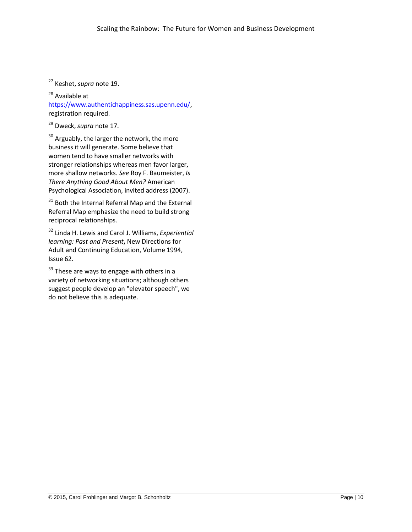<sup>27</sup> Keshet, *supra* note 19.

<sup>28</sup> Available at

[https://www.authentichappiness.sas.upenn.edu/,](https://www.authentichappiness.sas.upenn.edu/) registration required.

<sup>29</sup> Dweck, *supra* note 17.

<sup>30</sup> Arguably, the larger the network, the more business it will generate. Some believe that women tend to have smaller networks with stronger relationships whereas men favor larger, more shallow networks. *See* Roy F. Baumeister, *Is There Anything Good About Men?* American Psychological Association, invited address (2007).

<sup>31</sup> Both the Internal Referral Map and the External Referral Map emphasize the need to build strong reciprocal relationships.

<sup>32</sup> Linda H. Lewis and Carol J. Williams, *Experiential learning: Past and Present***,** New Directions for Adult and Continuing Education, Volume 1994, Issue 62.

 $33$  These are ways to engage with others in a variety of networking situations; although others suggest people develop an "elevator speech", we do not believe this is adequate.